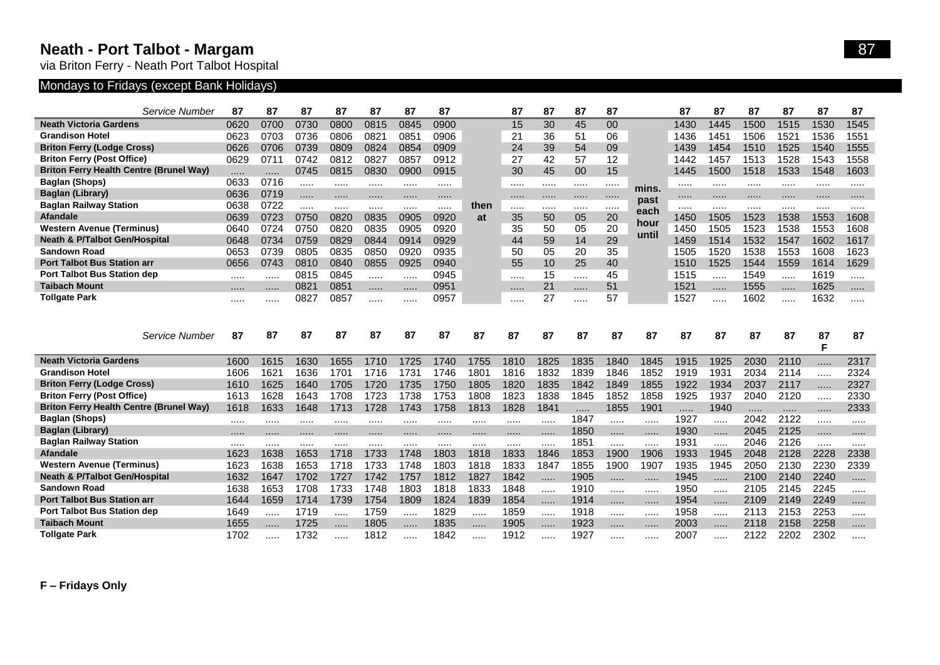## **Neath - Port Talbot - Margam** 87

via Briton Ferry - Neath Port Talbot Hospital

## Mondays to Fridays (except Bank Holidays)

| Service Number                                 | 87           | 87   | 87           | 87   | 87           | 87    | 87     |      | 87   | 87    | 87           | 87       |              | 87           | 87       | 87           | 87           | 87           | 87     |
|------------------------------------------------|--------------|------|--------------|------|--------------|-------|--------|------|------|-------|--------------|----------|--------------|--------------|----------|--------------|--------------|--------------|--------|
| <b>Neath Victoria Gardens</b>                  | 0620         | 0700 | 0730         | 0800 | 0815         | 0845  | 0900   |      | 15   | 30    | 45           | $00\,$   |              | 1430         | 1445     | 1500         | 1515         | 1530         | 1545   |
| <b>Grandison Hotel</b>                         | 0623         | 0703 | 0736         | 0806 | 082'         | 0851  | 0906   |      | 21   | 36    | 51           | 06       |              | 1436         | 1451     | 1506         | 1521         | 1536         | 1551   |
| <b>Briton Ferry (Lodge Cross)</b>              | 0626         | 0706 | 0739         | 0809 | 0824         | 0854  | 0909   |      | 24   | 39    | 54           | 09       |              | 1439         | 1454     | 1510         | 1525         | 1540         | 1555   |
| <b>Briton Ferry (Post Office)</b>              | 0629         | 0711 | 0742         | 0812 | 0827         | 0857  | 0912   |      | 27   | 42    | 57           | 12       |              | 1442         | 1457     | 1513         | 1528         | 1543         | 1558   |
| <b>Briton Ferry Health Centre (Brunel Way)</b> | .            | .    | 0745         | 0815 | 0830         | 0900  | 0915   |      | 30   | 45    | 00           | 15       |              | 1445         | 1500     | 1518         | 1533         | 1548         | 1603   |
| <b>Baglan (Shops)</b>                          | 0633         | 0716 | .            |      |              |       | .      |      |      |       |              |          |              |              |          |              |              |              |        |
| Baglan (Library)                               | 0636         | 0719 | .            | .    |              |       | .      |      | .    | .     |              |          | mins.        |              | .        | .            |              | .            | .      |
| <b>Baglan Railway Station</b>                  | 0638         | 0722 | .            |      |              |       | .      | then |      |       |              |          | past<br>each |              |          |              |              | .            |        |
| <b>Afandale</b>                                | 0639         | 0723 | 0750         | 0820 | 0835         | 0905  | 0920   | at   | 35   | 50    | 05           | 20       | hour         | 1450         | 1505     | 1523         | 1538         | 1553         | 1608   |
| <b>Western Avenue (Terminus)</b>               | 0640         | 0724 | 0750         | 0820 | 0835         | 0905  | 0920   |      | 35   | 50    | 05           | 20       | until        | 1450         | 1505     | 1523         | 1538         | 1553         | 1608   |
| <b>Neath &amp; P/Talbot Gen/Hospital</b>       | 0648         | 0734 | 0759         | 0829 | 0844         | 0914  | 0929   |      | 44   | 59    | 14           | 29       |              | 1459         | 1514     | 1532         | 1547         | 1602         | 1617   |
| <b>Sandown Road</b>                            | 0653         | 0739 | 0805         | 0835 | 0850         | 0920  | 0935   |      | 50   | 05    | 20           | 35       |              | 1505         | 1520     | 1538         | 1553         | 1608         | 1623   |
| <b>Port Talbot Bus Station arr</b>             | 0656         | 0743 | 0810         | 0840 | 0855         | 0925  | 0940   |      | 55   | 10    | 25           | 40       |              | 1510         | 1525     | 1544         | 1559         | 1614         | 1629   |
| <b>Port Talbot Bus Station dep</b>             |              | .    | 0815         | 0845 |              |       | 0945   |      |      | 15    |              | 45       |              | 1515         | .        | 1549         |              | 1619         |        |
| <b>Taibach Mount</b>                           |              | .    | 0821         | 0851 |              | .     | 0951   |      | .    | 21    |              | 51       |              | 1521         | .        | 1555         |              | 1625         | .      |
| <b>Tollgate Park</b>                           |              |      | 0827         | 0857 |              |       | 0957   |      |      | 27    |              | 57       |              | 1527         | .        | 1602         |              | 1632         | .      |
|                                                |              |      |              |      |              |       |        |      |      |       |              |          |              |              |          |              |              |              |        |
|                                                |              |      |              |      |              |       |        |      |      |       |              |          |              |              |          |              |              |              |        |
|                                                |              |      |              |      |              |       |        |      |      |       |              |          |              |              |          |              |              |              |        |
| Service Number                                 | 87           | 87   | 87           | 87   | 87           | 87    | 87     | 87   | 87   | 87    | 87           | 87       | 87           | 87           | 87       | 87           | 87           | 87           | 87     |
|                                                |              |      |              |      |              |       |        |      |      |       |              |          |              |              |          |              |              | F            |        |
| <b>Neath Victoria Gardens</b>                  | 1600         | 1615 | 1630         | 1655 | 1710         | 1725  | 1740   | 1755 | 1810 | 1825  | 1835         | 1840     | 1845         | 1915         | 1925     | 2030         | 2110         | .            | 2317   |
| <b>Grandison Hotel</b>                         | 1606         | 1621 | 1636         | 1701 | 1716         | 1731  | 1746   | 1801 | 1816 | 1832  | 1839         | 1846     | 1852         | 1919         | 1931     | 2034         | 2114         | .            | 2324   |
| <b>Briton Ferry (Lodge Cross)</b>              | 1610         | 1625 | 1640         | 1705 | 1720         | 1735  | 1750   | 1805 | 1820 | 1835  | 1842         | 1849     | 1855         | 1922         | 1934     | 2037         | 2117         | .            | 2327   |
| <b>Briton Ferry (Post Office)</b>              | 1613         | 1628 | 1643         | 1708 | 1723         | 1738  | 1753   | 1808 | 1823 | 1838  | 1845         | 1852     | 1858         | 1925         | 1937     | 2040         | 2120         | .            | 2330   |
| <b>Briton Ferry Health Centre (Brunel Way)</b> | 1618         | 1633 | 1648         | 1713 | 1728         | 1743  | 1758   | 1813 | 1828 | 1841  | .            | 1855     | 1901         | .            | 1940     | $\cdots$     | .            | .            | 2333   |
| <b>Baglan (Shops)</b><br>Baglan (Library)      |              |      | .            |      |              | .     | .      |      |      | .     | 1847         |          |              | 1927         | .        | 2042         | 2122         | .            | .      |
|                                                | <br>         | <br> | <br>.        | <br> |              | <br>. | .<br>. | <br> | <br> | .<br> | 1850<br>1851 |          |              | 1930         |          | 2045<br>2046 | 2125<br>2126 | .            |        |
| <b>Baglan Railway Station</b><br>Afandale      | 1623         | 1638 | 1653         | 1718 |              | 1748  | 1803   | 1818 | 1833 | 1846  |              | <br>1900 | <br>1906     | 1931         | <br>1945 | 2048         | 2128         | <br>2228     |        |
| <b>Western Avenue (Terminus)</b>               |              | 1638 |              | 1718 | 1733         | 1748  | 1803   | 1818 | 1833 | 1847  | 1853         |          | 1907         | 1933         | 1945     | 2050         | 2130         |              | 2338   |
| <b>Neath &amp; P/Talbot Gen/Hospital</b>       | 1623<br>1632 | 1647 | 1653<br>1702 | 1727 | 1733<br>1742 | 1757  | 1812   | 1827 | 1842 | .     | 1855         | 1900     |              | 1935<br>1945 | .        | 2100         | 2140         | 2230<br>2240 | 2339   |
| <b>Sandown Road</b>                            | 1638         | 1653 | 1708         | 1733 | 1748         | 1803  | 1818   | 1833 | 1848 | .     | 1905<br>1910 | .<br>    | .<br>.       | 1950         | .        | 2105         | 2145         | 2245         | .<br>. |
| <b>Port Talbot Bus Station arr</b>             | 1644         | 1659 | 1714         | 1739 | 1754         | 1809  | 1824   | 1839 | 1854 | .     | 1914         | .        | .            | 1954         | .        | 2109         | 2149         | 2249         | .      |
| <b>Port Talbot Bus Station dep</b>             | 1649         |      | 1719         |      | 1759         |       | 1829   |      | 1859 | .     | 1918         |          |              | 1958         |          | 2113         | 2153         | 2253         | .      |
| <b>Taibach Mount</b>                           | 1655         |      | 1725         | .    | 1805         | .     | 1835   | .    | 1905 | .     | 1923         | .        | $\cdots$     | 2003         |          | 2118         | 2158         | 2258         | .      |